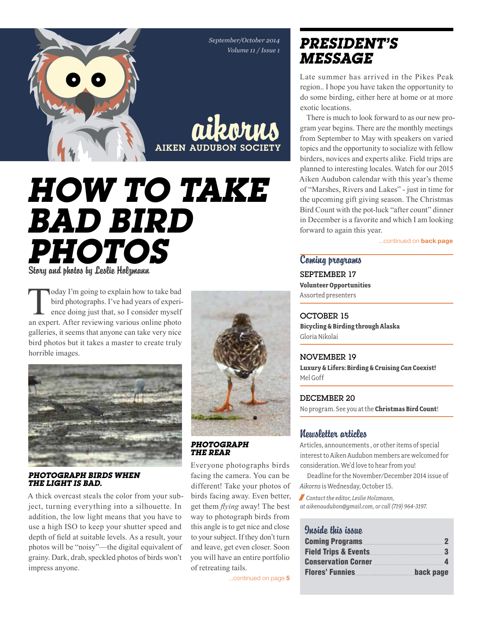*September/October 2014 Volume 11 / Issue 1*



# *How to take bad Bird photos* Story and photos by Leslie Holzmann

Today I'm going to explain how to take bad<br>bird photographs. I've had years of experi-<br>ence doing just that, so I consider myself<br>an expert After reviewing various online photo bird photographs. I've had years of experience doing just that, so I consider myself an expert. After reviewing various online photo galleries, it seems that anyone can take very nice bird photos but it takes a master to create truly horrible images.



*Photograph birds when the light is bad.* 

A thick overcast steals the color from your subject, turning everything into a silhouette. In addition, the low light means that you have to use a high ISO to keep your shutter speed and depth of field at suitable levels. As a result, your photos will be "noisy"—the digital equivalent of grainy. Dark, drab, speckled photos of birds won't impress anyone.





Everyone photographs birds facing the camera. You can be different! Take your photos of birds facing away. Even better, get them *flying* away! The best way to photograph birds from this angle is to get nice and close to your subject. If they don't turn and leave, get even closer. Soon you will have an entire portfolio of retreating tails.

...continued on page 5

# *president's message*

Late summer has arrived in the Pikes Peak region.. I hope you have taken the opportunity to do some birding, either here at home or at more exotic locations.

There is much to look forward to as our new program year begins. There are the monthly meetings from September to May with speakers on varied topics and the opportunity to socialize with fellow birders, novices and experts alike. Field trips are planned to interesting locales. Watch for our 2015 Aiken Audubon calendar with this year's theme of "Marshes, Rivers and Lakes" - just in time for the upcoming gift giving season. The Christmas Bird Count with the pot-luck "after count" dinner in December is a favorite and which I am looking forward to again this year.

...continued on **back page** 

Coming programs September 17 **Volunteer Opportunities**  Assorted presenters

OCTOBER 15 **Bicycling & Birding through Alaska** Gloria Nikolai

November 19 **Luxury & Lifers: Birding & Cruising** *Can* **Coexist!** Mel Goff

### DECEMBER 20

No program. See you at the **Christmas Bird Count**!

### Newsletter articles

Articles, announcements , or other items of special interest to Aiken Audubon members are welcomed for consideration. We'd love to hear from you!

Deadline for the November/December 2014 issue of *Aikorns* is Wednesday, October 15.

/ *Contact the editor, Leslie Holzmann, at aikenaudubon@gmail.com, or call (719) 964-3197.*

### Quaido this issue

| Coming Programs <b>Exercise 2</b> |           |
|-----------------------------------|-----------|
|                                   |           |
|                                   |           |
| Flores' Funnies                   | back page |
|                                   |           |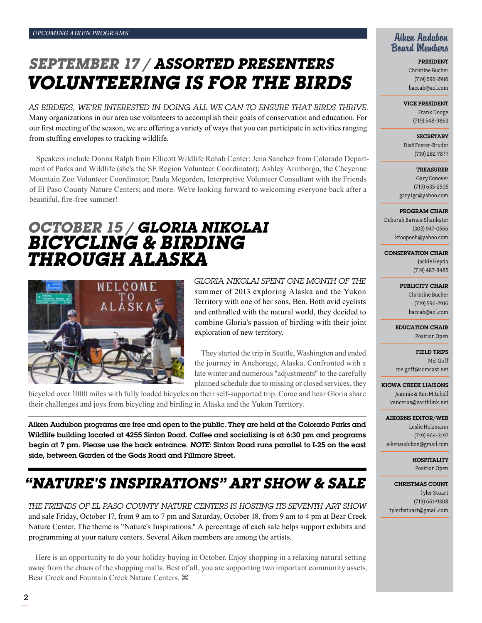# *September 17 / Assorted Presenters Volunteering is for the birds*

AS BIRDERS, WE'RE INTERESTED IN DOING ALL WE CAN TO ENSURE THAT BIRDS THRIVE. Many organizations in our area use volunteers to accomplish their goals of conservation and education. For our first meeting of the season, we are offering a variety of ways that you can participate in activities ranging from stuffing envelopes to tracking wildlife.

Speakers include Donna Ralph from Ellicott Wildlife Rehab Center; Jena Sanchez from Colorado Department of Parks and Wildlife (she's the SE Region Volunteer Coordinator); Ashley Armborgo, the Cheyenne Mountain Zoo Volunteer Coordinator; Paula Megorden, Interpretive Volunteer Consultant with the Friends of El Paso County Nature Centers; and more. We're looking forward to welcoming everyone back after a beautiful, fire-free summer!

# *October 15 / Gloria Nikolai Bicycling & Birding through Alaska*



*Gloria Nikolai spent one month of the*  summer of 2013 exploring Alaska and the Yukon Territory with one of her sons, Ben. Both avid cyclists and enthralled with the natural world, they decided to combine Gloria's passion of birding with their joint exploration of new territory.

They started the trip in Seattle, Washington and ended the journey in Anchorage, Alaska. Confronted with a late winter and numerous "adjustments" to the carefully planned schedule due to missing or closed services, they

bicycled over 1000 miles with fully loaded bicycles on their self-supported trip. Come and hear Gloria share their challenges and joys from bicycling and birding in Alaska and the Yukon Territory.

Aiken Audubon programs are free and open to the public. They are held at the Colorado Parks and Wildlife building located at 4255 Sinton Road. Coffee and socializing is at 6:30 pm and programs begin at 7 pm. Please use the back entrance. *Note:* Sinton Road runs parallel to I-25 on the east side, between Garden of the Gods Road and Fillmore Street.

# *"Nature's Inspirations" Art Show & Sale*

*The Friends of El Paso County Nature Centers is hosting its seventh art show*  and sale Friday, October 17, from 9 am to 7 pm and Saturday, October 18, from 9 am to 4 pm at Bear Creek Nature Center. The theme is "Nature's Inspirations." A percentage of each sale helps support exhibits and programming at your nature centers. Several Aiken members are among the artists.

Here is an opportunity to do your holiday buying in October. Enjoy shopping in a relaxing natural setting away from the chaos of the shopping malls. Best of all, you are supporting two important community assets, Bear Creek and Fountain Creek Nature Centers.

### Aiken Audubon Board Members

President Christine Bucher (719) 596-2916 baccab@aol.com

#### Vice President

Frank Dodge (719) 548-9863

**SECRETARY** Risë Foster-Bruder (719) 282-7877

**TREASURER** Gary Conover (719) 635-2505 gary1gc@yahoo.com

Program Chair

Deborah Barnes-Shankster (303) 947-0566 kfoopooh@yahoo.com

Conservation Chair

Jackie Heyda (719) 487-8485

Publicity Chair

Christine Bucher (719) 596-2916 baccab@aol.com

Education Chair Position Open

Field Trips Mel Goff melgoff@comcast.net

Kiowa Creek Liaisons Jeannie & Ron Mitchell vancerus@earthlink.net

Aikorns Editor/Web Leslie Holzmann (719) 964-3197 aikenaudubon@gmail.com

> **HOSPITALITY** Position Open

Christmas Count Tyler Stuart (719) 661-9308 tylerhstuart@gmail.com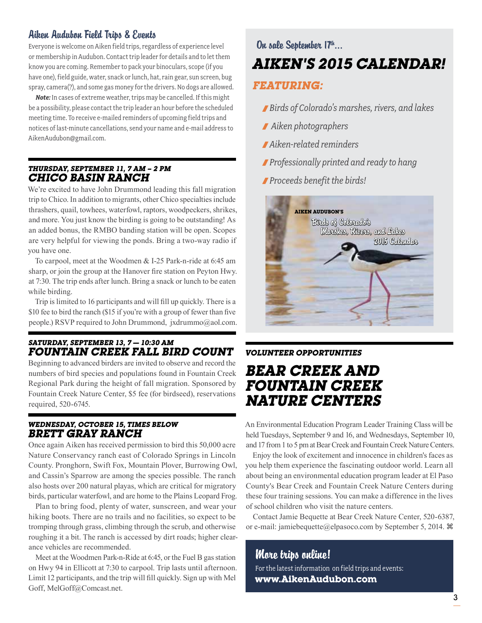### Aiken Audubon Field Trips & Events

Everyone is welcome on Aiken field trips, regardless of experience level or membership in Audubon. Contact trip leader for details and to let them know you are coming. Remember to pack your binoculars, scope (if you have one), field guide, water, snack or lunch, hat, rain gear, sun screen, bug spray, camera(?), and some gas money for the drivers. No dogs are allowed.

*Note:* In cases of extreme weather, trips may be cancelled. If this might be a possibility, please contact the trip leader an hour before the scheduled meeting time. To receive e-mailed reminders of upcoming field trips and notices of last-minute cancellations, send your name and e-mail address to AikenAudubon@gmail.com.

#### *Thursday, September 11, 7 AM – 2 pm Chico Basin Ranch*

We're excited to have John Drummond leading this fall migration trip to Chico. In addition to migrants, other Chico specialties include thrashers, quail, towhees, waterfowl, raptors, woodpeckers, shrikes, and more. You just know the birding is going to be outstanding! As an added bonus, the RMBO banding station will be open. Scopes are very helpful for viewing the ponds. Bring a two-way radio if you have one.

To carpool, meet at the Woodmen & I-25 Park-n-ride at 6:45 am sharp, or join the group at the Hanover fire station on Peyton Hwy. at 7:30. The trip ends after lunch. Bring a snack or lunch to be eaten while birding.

Trip is limited to 16 participants and will fill up quickly. There is a \$10 fee to bird the ranch (\$15 if you're with a group of fewer than five people.) RSVP required to John Drummond, jxdrummo@aol.com.

### *Saturday, September 13, 7 — 10:30 am Fountain Creek fall bird count*

Beginning to advanced birders are invited to observe and record the numbers of bird species and populations found in Fountain Creek Regional Park during the height of fall migration. Sponsored by Fountain Creek Nature Center, \$5 fee (for birdseed), reservations required, 520-6745.

#### *Wednesday, October 15, times below Brett Gray Ranch*

Once again Aiken has received permission to bird this 50,000 acre Nature Conservancy ranch east of Colorado Springs in Lincoln County. Pronghorn, Swift Fox, Mountain Plover, Burrowing Owl, and Cassin's Sparrow are among the species possible. The ranch also hosts over 200 natural playas, which are critical for migratory birds, particular waterfowl, and are home to the Plains Leopard Frog.

Plan to bring food, plenty of water, sunscreen, and wear your hiking boots. There are no trails and no facilities, so expect to be tromping through grass, climbing through the scrub, and otherwise roughing it a bit. The ranch is accessed by dirt roads; higher clearance vehicles are recommended.

Meet at the Woodmen Park-n-Ride at 6:45, or the Fuel B gas station on Hwy 94 in Ellicott at 7:30 to carpool. Trip lasts until afternoon. Limit 12 participants, and the trip will fill quickly. Sign up with Mel Goff, MelGoff@Comcast.net.

# *Aiken's 2015 Calendar!* On sale September 17th...

### *Featuring:*

- /*Birds of Colorado's marshes, rivers, and lakes*
- / *Aiken photographers*
- / *Aiken-related reminders*
- /*Professionally printed and ready to hang*
- /*Proceeds benefit the birds!*



### *VOLUNTEER OPPORTUNITIES*

# *BEAR CREEK AND FOUNTAIN CREEK NATURE CENTERS*

An Environmental Education Program Leader Training Class will be held Tuesdays, September 9 and 16, and Wednesdays, September 10, and 17 from 1 to 5 pm at Bear Creek and Fountain Creek Nature Centers.

Enjoy the look of excitement and innocence in children's faces as you help them experience the fascinating outdoor world. Learn all about being an environmental education program leader at El Paso County's Bear Creek and Fountain Creek Nature Centers during these four training sessions. You can make a difference in the lives of school children who visit the nature centers.

Contact Jamie Bequette at Bear Creek Nature Center, 520-6387, or e-mail: jamiebequette@elpasoco.com by September 5, 2014.  $\mathcal{H}$ 

### More trips online! For the latest information on field trips and events: **www.AikenAudubon.com**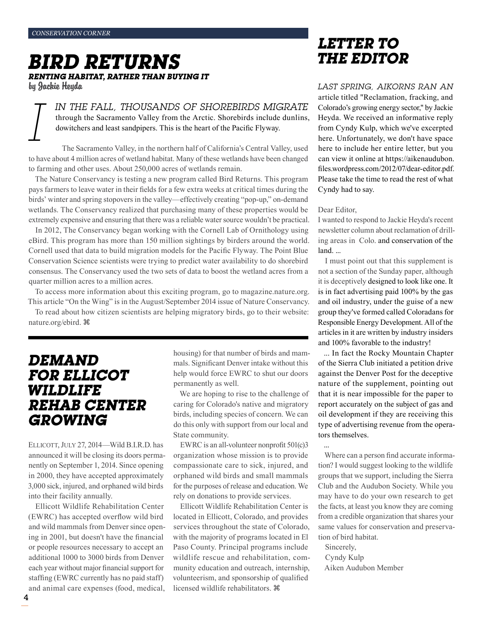# *Bird Returns renting habitat, rather than buying it*

by Jackie Heyda

*In the fall, thousands of shorebirds migrate*  through the Sacramento Valley from the Arctic. Shorebirds include dunlins, dowitchers and least sandpipers. This is the heart of the Pacific Flyway.

*I* The Sacramento Valley, in the northern half of California's Central Valley, used to have about 4 million acres of wetland habitat. Many of these wetlands have been changed to farming and other uses. About 250,000 acres of wetlands remain.

The Nature Conservancy is testing a new program called Bird Returns. This program pays farmers to leave water in their fields for a few extra weeks at critical times during the birds' winter and spring stopovers in the valley—effectively creating "pop-up," on-demand wetlands. The Conservancy realized that purchasing many of these properties would be extremely expensive and ensuring that there was a reliable water source wouldn't be practical.

In 2012, The Conservancy began working with the Cornell Lab of Ornithology using eBird. This program has more than 150 million sightings by birders around the world. Cornell used that data to build migration models for the Pacific Flyway. The Point Blue Conservation Science scientists were trying to predict water availability to do shorebird consensus. The Conservancy used the two sets of data to boost the wetland acres from a quarter million acres to a million acres.

To access more information about this exciting program, go to magazine.nature.org. This article "On the Wing" is in the August/September 2014 issue of Nature Conservancy.

To read about how citizen scientists are helping migratory birds, go to their website: nature.org/ebird.

### *Demand for Ellicot Wildlife Rehab Center growing*

ELLICOTT, JULY 27, 2014-Wild B.I.R.D. has announced it will be closing its doors permanently on September 1, 2014. Since opening in 2000, they have accepted approximately 3,000 sick, injured, and orphaned wild birds into their facility annually.

Ellicott Wildlife Rehabilitation Center (EWRC) has accepted overflow wild bird and wild mammals from Denver since opening in 2001, but doesn't have the financial or people resources necessary to accept an additional 1000 to 3000 birds from Denver each year without major financial support for staffing (EWRC currently has no paid staff) and animal care expenses (food, medical, housing) for that number of birds and mammals. Significant Denver intake without this help would force EWRC to shut our doors permanently as well.

We are hoping to rise to the challenge of caring for Colorado's native and migratory birds, including species of concern. We can do this only with support from our local and State community.

EWRC is an all-volunteer nonprofit 501(c)3 organization whose mission is to provide compassionate care to sick, injured, and orphaned wild birds and small mammals for the purposes of release and education. We rely on donations to provide services.

Ellicott Wildlife Rehabilitation Center is located in Ellicott, Colorado, and provides services throughout the state of Colorado, with the majority of programs located in El Paso County. Principal programs include wildlife rescue and rehabilitation, community education and outreach, internship, volunteerism, and sponsorship of qualified licensed wildlife rehabilitators.  $\frac{4}{3}$ 

# *Letter to the Editor*

*Last spring, Aikorns ran an* article titled "Reclamation, fracking, and Colorado's growing energy sector," by Jackie Heyda. We received an informative reply from Cyndy Kulp, which we've excerpted here. Unfortunately, we don't have space here to include her entire letter, but you can view it online at https://aikenaudubon. files.wordpress.com/2012/07/dear-editor.pdf. Please take the time to read the rest of what Cyndy had to say.

#### Dear Editor,

I wanted to respond to Jackie Heyda's recent newsletter column about reclamation of drilling areas in Colo. and conservation of the land. ...

I must point out that this supplement is not a section of the Sunday paper, although it is deceptively designed to look like one. It is in fact advertising paid 100% by the gas and oil industry, under the guise of a new group they've formed called Coloradans for Responsible Energy Development. All of the articles in it are written by industry insiders and 100% favorable to the industry!

... In fact the Rocky Mountain Chapter of the Sierra Club initiated a petition drive against the Denver Post for the deceptive nature of the supplement, pointing out that it is near impossible for the paper to report accurately on the subject of gas and oil development if they are receiving this type of advertising revenue from the operators themselves.

...

Where can a person find accurate information? I would suggest looking to the wildlife groups that we support, including the Sierra Club and the Audubon Society. While you may have to do your own research to get the facts, at least you know they are coming from a credible organization that shares your same values for conservation and preservation of bird habitat.

Sincerely, Cyndy Kulp Aiken Audubon Member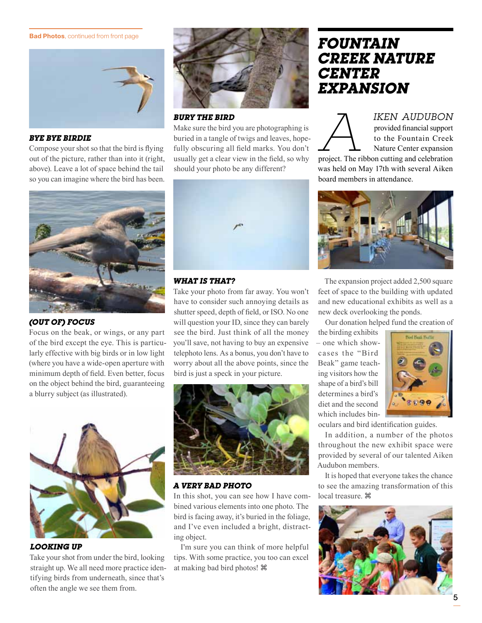**Bad Photos**, continued from front page



#### *Bye Bye Birdie*

Compose your shot so that the bird is flying out of the picture, rather than into it (right, above). Leave a lot of space behind the tail so you can imagine where the bird has been.



#### *(out of) focus*

Focus on the beak, or wings, or any part of the bird except the eye. This is particularly effective with big birds or in low light (where you have a wide-open aperture with minimum depth of field. Even better, focus on the object behind the bird, guaranteeing a blurry subject (as illustrated).



*Looking up*

Take your shot from under the bird, looking straight up. We all need more practice identifying birds from underneath, since that's often the angle we see them from.



*Bury the bird*

Make sure the bird you are photographing is buried in a tangle of twigs and leaves, hopefully obscuring all field marks. You don't usually get a clear view in the field, so why should your photo be any different?



#### *what is that?*

Take your photo from far away. You won't have to consider such annoying details as shutter speed, depth of field, or ISO. No one will question your ID, since they can barely see the bird. Just think of all the money you'll save, not having to buy an expensive telephoto lens. As a bonus, you don't have to worry about all the above points, since the bird is just a speck in your picture.



#### *a Very Bad Photo*

In this shot, you can see how I have combined various elements into one photo. The bird is facing away, it's buried in the foliage, and I've even included a bright, distracting object.

I'm sure you can think of more helpful tips. With some practice, you too can excel at making bad bird photos!

### *Fountain Creek Nature Center Expansion*

*IKEN AUDUBON*<br>
provided financial support<br>
to the Fountain Creek<br>
Nature Center expansion<br>
project. The ribbon cutting and celebration provided financial support to the Fountain Creek Nature Center expansion

was held on May 17th with several Aiken board members in attendance.



The expansion project added 2,500 square feet of space to the building with updated and new educational exhibits as well as a new deck overlooking the ponds.

Our donation helped fund the creation of

the birding exhibits – one which showcases the "Bird Beak" game teaching visitors how the shape of a bird's bill determines a bird's diet and the second which includes bin-



oculars and bird identification guides.

In addition, a number of the photos throughout the new exhibit space were provided by several of our talented Aiken Audubon members.

It is hoped that everyone takes the chance to see the amazing transformation of this local treasure.